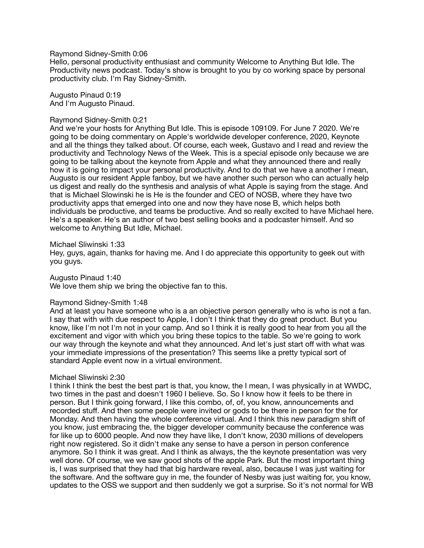Raymond Sidney-Smith 0:06

Hello, personal productivity enthusiast and community Welcome to Anything But Idle. The Productivity news podcast. Today's show is brought to you by co working space by personal productivity club. I'm Ray Sidney-Smith.

Augusto Pinaud 0:19 And I'm Augusto Pinaud.

#### Raymond Sidney-Smith 0:21

And we're your hosts for Anything But Idle. This is episode 109109. For June 7 2020. We're going to be doing commentary on Apple's worldwide developer conference, 2020, Keynote and all the things they talked about. Of course, each week, Gustavo and I read and review the productivity and Technology News of the Week. This is a special episode only because we are going to be talking about the keynote from Apple and what they announced there and really how it is going to impact your personal productivity. And to do that we have a another I mean, Augusto is our resident Apple fanboy, but we have another such person who can actually help us digest and really do the synthesis and analysis of what Apple is saying from the stage. And that is Michael Slowinski he is He is the founder and CEO of NOSB, where they have two productivity apps that emerged into one and now they have nose B, which helps both individuals be productive, and teams be productive. And so really excited to have Michael here. He's a speaker. He's an author of two best selling books and a podcaster himself. And so welcome to Anything But Idle, Michael.

Michael Sliwinski 1:33

Hey, guys, again, thanks for having me. And I do appreciate this opportunity to geek out with you guys.

Augusto Pinaud 1:40

We love them ship we bring the objective fan to this.

#### Raymond Sidney-Smith 1:48

And at least you have someone who is a an objective person generally who is who is not a fan. I say that with with due respect to Apple, I don't I think that they do great product. But you know, like I'm not I'm not in your camp. And so I think it is really good to hear from you all the excitement and vigor with which you bring these topics to the table. So we're going to work our way through the keynote and what they announced. And let's just start off with what was your immediate impressions of the presentation? This seems like a pretty typical sort of standard Apple event now in a virtual environment.

#### Michael Sliwinski 2:30

I think I think the best the best part is that, you know, the I mean, I was physically in at WWDC, two times in the past and doesn't 1960 I believe. So. So I know how it feels to be there in person. But I think going forward, I like this combo, of, of, you know, announcements and recorded stuff. And then some people were invited or gods to be there in person for the for Monday. And then having the whole conference virtual. And I think this new paradigm shift of you know, just embracing the, the bigger developer community because the conference was for like up to 6000 people. And now they have like, I don't know, 2030 millions of developers right now registered. So it didn't make any sense to have a person in person conference anymore. So I think it was great. And I think as always, the the keynote presentation was very well done. Of course, we we saw good shots of the apple Park. But the most important thing is, I was surprised that they had that big hardware reveal, also, because I was just waiting for the software. And the software guy in me, the founder of Nesby was just waiting for, you know, updates to the OSS we support and then suddenly we got a surprise. So it's not normal for WB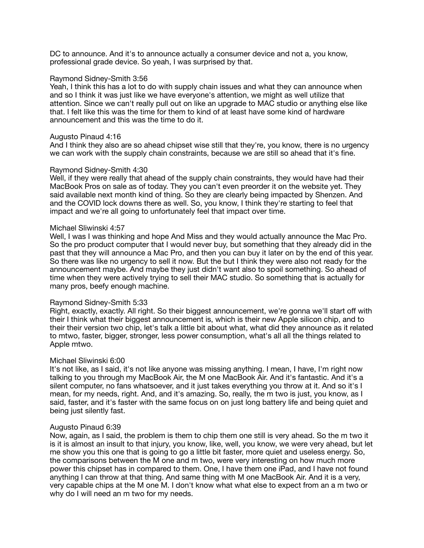DC to announce. And it's to announce actually a consumer device and not a, you know, professional grade device. So yeah, I was surprised by that.

### Raymond Sidney-Smith 3:56

Yeah, I think this has a lot to do with supply chain issues and what they can announce when and so I think it was just like we have everyone's attention, we might as well utilize that attention. Since we can't really pull out on like an upgrade to MAC studio or anything else like that. I felt like this was the time for them to kind of at least have some kind of hardware announcement and this was the time to do it.

## Augusto Pinaud 4:16

And I think they also are so ahead chipset wise still that they're, you know, there is no urgency we can work with the supply chain constraints, because we are still so ahead that it's fine.

## Raymond Sidney-Smith 4:30

Well, if they were really that ahead of the supply chain constraints, they would have had their MacBook Pros on sale as of today. They you can't even preorder it on the website yet. They said available next month kind of thing. So they are clearly being impacted by Shenzen. And and the COVID lock downs there as well. So, you know, I think they're starting to feel that impact and we're all going to unfortunately feel that impact over time.

## Michael Sliwinski 4:57

Well, I was I was thinking and hope And Miss and they would actually announce the Mac Pro. So the pro product computer that I would never buy, but something that they already did in the past that they will announce a Mac Pro, and then you can buy it later on by the end of this year. So there was like no urgency to sell it now. But the but I think they were also not ready for the announcement maybe. And maybe they just didn't want also to spoil something. So ahead of time when they were actively trying to sell their MAC studio. So something that is actually for many pros, beefy enough machine.

#### Raymond Sidney-Smith 5:33

Right, exactly, exactly. All right. So their biggest announcement, we're gonna we'll start off with their I think what their biggest announcement is, which is their new Apple silicon chip, and to their their version two chip, let's talk a little bit about what, what did they announce as it related to mtwo, faster, bigger, stronger, less power consumption, what's all all the things related to Apple mtwo.

#### Michael Sliwinski 6:00

It's not like, as I said, it's not like anyone was missing anything. I mean, I have, I'm right now talking to you through my MacBook Air, the M one MacBook Air. And it's fantastic. And it's a silent computer, no fans whatsoever, and it just takes everything you throw at it. And so it's I mean, for my needs, right. And, and it's amazing. So, really, the m two is just, you know, as I said, faster, and it's faster with the same focus on on just long battery life and being quiet and being just silently fast.

#### Augusto Pinaud 6:39

Now, again, as I said, the problem is them to chip them one still is very ahead. So the m two it is it is almost an insult to that injury, you know, like, well, you know, we were very ahead, but let me show you this one that is going to go a little bit faster, more quiet and useless energy. So, the comparisons between the M one and m two, were very interesting on how much more power this chipset has in compared to them. One, I have them one iPad, and I have not found anything I can throw at that thing. And same thing with M one MacBook Air. And it is a very, very capable chips at the M one M. I don't know what what else to expect from an a m two or why do I will need an m two for my needs.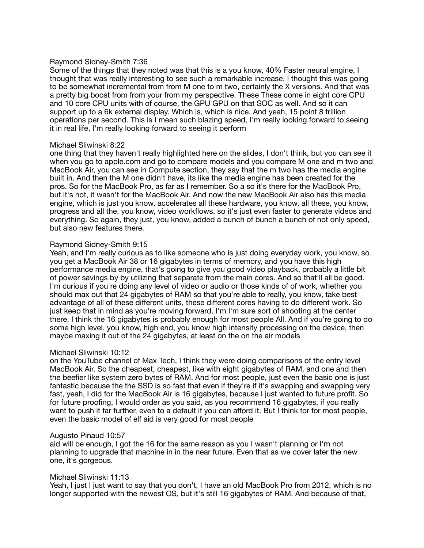## Raymond Sidney-Smith 7:36

Some of the things that they noted was that this is a you know, 40% Faster neural engine, I thought that was really interesting to see such a remarkable increase, I thought this was going to be somewhat incremental from from M one to m two, certainly the X versions. And that was a pretty big boost from from your from my perspective. These These come in eight core CPU and 10 core CPU units with of course, the GPU GPU on that SOC as well. And so it can support up to a 6k external display. Which is, which is nice. And yeah, 15 point 8 trillion operations per second. This is I mean such blazing speed, I'm really looking forward to seeing it in real life, I'm really looking forward to seeing it perform

## Michael Sliwinski 8:22

one thing that they haven't really highlighted here on the slides, I don't think, but you can see it when you go to apple.com and go to compare models and you compare M one and m two and MacBook Air, you can see in Compute section, they say that the m two has the media engine built in. And then the M one didn't have, its like the media engine has been created for the pros. So for the MacBook Pro, as far as I remember. So a so it's there for the MacBook Pro, but it's not, it wasn't for the MacBook Air. And now the new MacBook Air also has this media engine, which is just you know, accelerates all these hardware, you know, all these, you know, progress and all the, you know, video workflows, so it's just even faster to generate videos and everything. So again, they just, you know, added a bunch of bunch a bunch of not only speed, but also new features there.

## Raymond Sidney-Smith 9:15

Yeah, and I'm really curious as to like someone who is just doing everyday work, you know, so you get a MacBook Air 38 or 16 gigabytes in terms of memory, and you have this high performance media engine, that's going to give you good video playback, probably a little bit of power savings by by utilizing that separate from the main cores. And so that'll all be good. I'm curious if you're doing any level of video or audio or those kinds of of work, whether you should max out that 24 gigabytes of RAM so that you're able to really, you know, take best advantage of all of these different units, these different cores having to do different work. So just keep that in mind as you're moving forward. I'm I'm sure sort of shooting at the center there. I think the 16 gigabytes is probably enough for most people All. And if you're going to do some high level, you know, high end, you know high intensity processing on the device, then maybe maxing it out of the 24 gigabytes, at least on the on the air models

## Michael Sliwinski 10:12

on the YouTube channel of Max Tech, I think they were doing comparisons of the entry level MacBook Air. So the cheapest, cheapest, like with eight gigabytes of RAM, and one and then the beefier like system zero bytes of RAM. And for most people, just even the basic one is just fantastic because the the SSD is so fast that even if they're if it's swapping and swapping very fast, yeah, I did for the MacBook Air is 16 gigabytes, because I just wanted to future profit. So for future proofing, I would order as you said, as you recommend 16 gigabytes, if you really want to push it far further, even to a default if you can afford it. But I think for for most people, even the basic model of elf aid is very good for most people

#### Augusto Pinaud 10:57

aid will be enough, I got the 16 for the same reason as you I wasn't planning or I'm not planning to upgrade that machine in in the near future. Even that as we cover later the new one, it's gorgeous.

#### Michael Sliwinski 11:13

Yeah, I just I just want to say that you don't, I have an old MacBook Pro from 2012, which is no longer supported with the newest OS, but it's still 16 gigabytes of RAM. And because of that,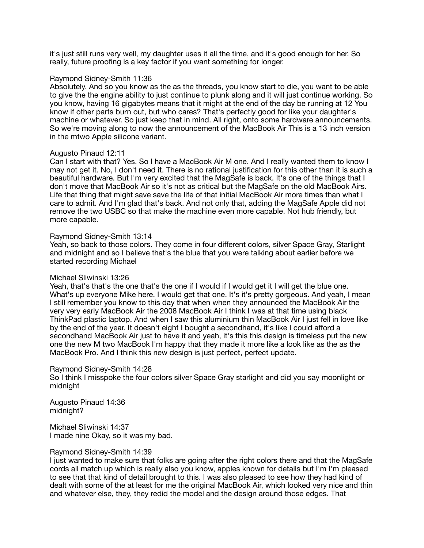it's just still runs very well, my daughter uses it all the time, and it's good enough for her. So really, future proofing is a key factor if you want something for longer.

### Raymond Sidney-Smith 11:36

Absolutely. And so you know as the as the threads, you know start to die, you want to be able to give the the engine ability to just continue to plunk along and it will just continue working. So you know, having 16 gigabytes means that it might at the end of the day be running at 12 You know if other parts burn out, but who cares? That's perfectly good for like your daughter's machine or whatever. So just keep that in mind. All right, onto some hardware announcements. So we're moving along to now the announcement of the MacBook Air This is a 13 inch version in the mtwo Apple silicone variant.

## Augusto Pinaud 12:11

Can I start with that? Yes. So I have a MacBook Air M one. And I really wanted them to know I may not get it. No, I don't need it. There is no rational justification for this other than it is such a beautiful hardware. But I'm very excited that the MagSafe is back. It's one of the things that I don't move that MacBook Air so it's not as critical but the MagSafe on the old MacBook Airs. Life that thing that might save save the life of that initial MacBook Air more times than what I care to admit. And I'm glad that's back. And not only that, adding the MagSafe Apple did not remove the two USBC so that make the machine even more capable. Not hub friendly, but more capable.

#### Raymond Sidney-Smith 13:14

Yeah, so back to those colors. They come in four different colors, silver Space Gray, Starlight and midnight and so I believe that's the blue that you were talking about earlier before we started recording Michael

### Michael Sliwinski 13:26

Yeah, that's that's the one that's the one if I would if I would get it I will get the blue one. What's up everyone Mike here. I would get that one. It's it's pretty gorgeous. And yeah, I mean I still remember you know to this day that when when they announced the MacBook Air the very very early MacBook Air the 2008 MacBook Air I think I was at that time using black ThinkPad plastic laptop. And when I saw this aluminium thin MacBook Air I just fell in love like by the end of the year. It doesn't eight I bought a secondhand, it's like I could afford a secondhand MacBook Air just to have it and yeah, it's this this design is timeless put the new one the new M two MacBook I'm happy that they made it more like a look like as the as the MacBook Pro. And I think this new design is just perfect, perfect update.

#### Raymond Sidney-Smith 14:28

So I think I misspoke the four colors silver Space Gray starlight and did you say moonlight or midnight

Augusto Pinaud 14:36 midnight?

Michael Sliwinski 14:37 I made nine Okay, so it was my bad.

#### Raymond Sidney-Smith 14:39

I just wanted to make sure that folks are going after the right colors there and that the MagSafe cords all match up which is really also you know, apples known for details but I'm I'm pleased to see that that kind of detail brought to this. I was also pleased to see how they had kind of dealt with some of the at least for me the original MacBook Air, which looked very nice and thin and whatever else, they, they redid the model and the design around those edges. That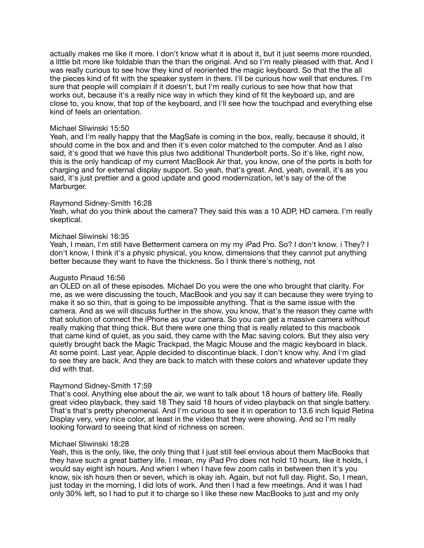actually makes me like it more. I don't know what it is about it, but it just seems more rounded, a little bit more like foldable than the than the original. And so I'm really pleased with that. And I was really curious to see how they kind of reoriented the magic keyboard. So that the the all the pieces kind of fit with the speaker system in there. I'll be curious how well that endures. I'm sure that people will complain if it doesn't, but I'm really curious to see how that how that works out, because it's a really nice way in which they kind of fit the keyboard up, and are close to, you know, that top of the keyboard, and I'll see how the touchpad and everything else kind of feels an orientation.

## Michael Sliwinski 15:50

Yeah, and I'm really happy that the MagSafe is coming in the box, really, because it should, it should come in the box and and then it's even color matched to the computer. And as I also said, it's good that we have this plus two additional Thunderbolt ports. So it's like, right now, this is the only handicap of my current MacBook Air that, you know, one of the ports is both for charging and for external display support. So yeah, that's great. And, yeah, overall, it's as you said, it's just prettier and a good update and good modernization, let's say of the of the Marburger.

## Raymond Sidney-Smith 16:28

Yeah, what do you think about the camera? They said this was a 10 ADP, HD camera. I'm really skeptical.

## Michael Sliwinski 16:35

Yeah, I mean, I'm still have Betterment camera on my my iPad Pro. So? I don't know. i They? I don't know, I think it's a physic physical, you know, dimensions that they cannot put anything better because they want to have the thickness. So I think there's nothing, not

## Augusto Pinaud 16:56

an OLED on all of these episodes. Michael Do you were the one who brought that clarity. For me, as we were discussing the touch, MacBook and you say it can because they were trying to make it so so thin, that is going to be impossible anything. That is the same issue with the camera. And as we will discuss further in the show, you know, that's the reason they came with that solution of connect the iPhone as your camera. So you can get a massive camera without really making that thing thick. But there were one thing that is really related to this macbook that came kind of quiet, as you said, they came with the Mac saving colors. But they also very quietly brought back the Magic Trackpad, the Magic Mouse and the magic keyboard in black. At some point. Last year, Apple decided to discontinue black. I don't know why. And I'm glad to see they are back. And they are back to match with these colors and whatever update they did with that.

#### Raymond Sidney-Smith 17:59

That's cool. Anything else about the air, we want to talk about 18 hours of battery life. Really great video playback, they said 18 They said 18 hours of video playback on that single battery. That's that's pretty phenomenal. And I'm curious to see it in operation to 13.6 inch liquid Retina Display very, very nice color, at least in the video that they were showing. And so I'm really looking forward to seeing that kind of richness on screen.

#### Michael Sliwinski 18:28

Yeah, this is the only, like, the only thing that I just still feel envious about them MacBooks that they have such a great battery life. I mean, my iPad Pro does not hold 10 hours, like it holds, I would say eight ish hours. And when I when I have few zoom calls in between then it's you know, six ish hours then or seven, which is okay ish. Again, but not full day. Right. So, I mean, just today in the morning, I did lots of work. And then I had a few meetings. And it was I had only 30% left, so I had to put it to charge so I like these new MacBooks to just and my only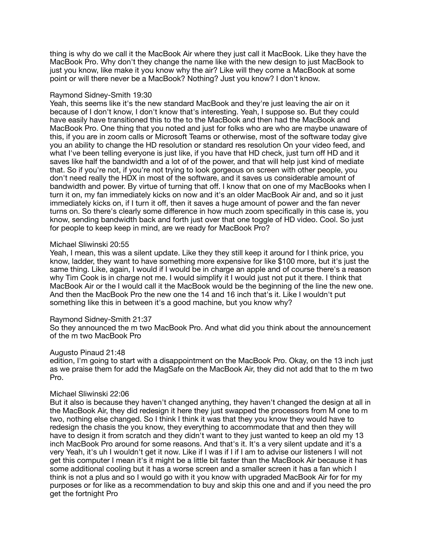thing is why do we call it the MacBook Air where they just call it MacBook. Like they have the MacBook Pro. Why don't they change the name like with the new design to just MacBook to just you know, like make it you know why the air? Like will they come a MacBook at some point or will there never be a MacBook? Nothing? Just you know? I don't know.

## Raymond Sidney-Smith 19:30

Yeah, this seems like it's the new standard MacBook and they're just leaving the air on it because of I don't know, I don't know that's interesting. Yeah, I suppose so. But they could have easily have transitioned this to the to the MacBook and then had the MacBook and MacBook Pro. One thing that you noted and just for folks who are who are maybe unaware of this, if you are in zoom calls or Microsoft Teams or otherwise, most of the software today give you an ability to change the HD resolution or standard res resolution On your video feed, and what I've been telling everyone is just like, if you have that HD check, just turn off HD and it saves like half the bandwidth and a lot of of the power, and that will help just kind of mediate that. So if you're not, if you're not trying to look gorgeous on screen with other people, you don't need really the HDX in most of the software, and it saves us considerable amount of bandwidth and power. By virtue of turning that off. I know that on one of my MacBooks when I turn it on, my fan immediately kicks on now and it's an older MacBook Air and, and so it just immediately kicks on, if I turn it off, then it saves a huge amount of power and the fan never turns on. So there's clearly some difference in how much zoom specifically in this case is, you know, sending bandwidth back and forth just over that one toggle of HD video. Cool. So just for people to keep keep in mind, are we ready for MacBook Pro?

## Michael Sliwinski 20:55

Yeah, I mean, this was a silent update. Like they they still keep it around for I think price, you know, ladder, they want to have something more expensive for like \$100 more, but it's just the same thing. Like, again, I would if I would be in charge an apple and of course there's a reason why Tim Cook is in charge not me. I would simplify it I would just not put it there. I think that MacBook Air or the I would call it the MacBook would be the beginning of the line the new one. And then the MacBook Pro the new one the 14 and 16 inch that's it. Like I wouldn't put something like this in between it's a good machine, but you know why?

## Raymond Sidney-Smith 21:37

So they announced the m two MacBook Pro. And what did you think about the announcement of the m two MacBook Pro

## Augusto Pinaud 21:48

edition, I'm going to start with a disappointment on the MacBook Pro. Okay, on the 13 inch just as we praise them for add the MagSafe on the MacBook Air, they did not add that to the m two Pro.

#### Michael Sliwinski 22:06

But it also is because they haven't changed anything, they haven't changed the design at all in the MacBook Air, they did redesign it here they just swapped the processors from M one to m two, nothing else changed. So I think I think it was that they you know they would have to redesign the chasis the you know, they everything to accommodate that and then they will have to design it from scratch and they didn't want to they just wanted to keep an old my 13 inch MacBook Pro around for some reasons. And that's it. It's a very silent update and it's a very Yeah, it's uh I wouldn't get it now. Like if I was if I if I am to advise our listeners I will not get this computer I mean it's it might be a little bit faster than the MacBook Air because it has some additional cooling but it has a worse screen and a smaller screen it has a fan which I think is not a plus and so I would go with it you know with upgraded MacBook Air for for my purposes or for like as a recommendation to buy and skip this one and and if you need the pro get the fortnight Pro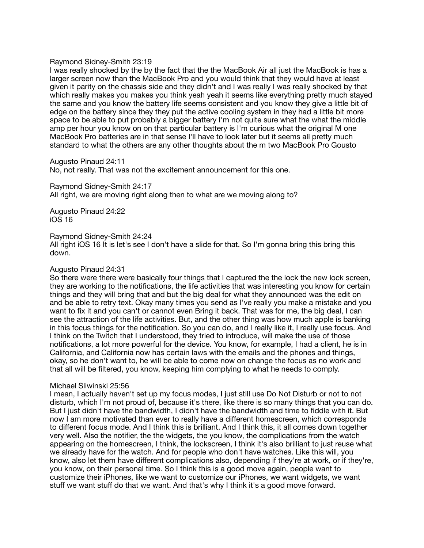#### Raymond Sidney-Smith 23:19

I was really shocked by the by the fact that the the MacBook Air all just the MacBook is has a larger screen now than the MacBook Pro and you would think that they would have at least given it parity on the chassis side and they didn't and I was really I was really shocked by that which really makes you makes you think yeah yeah it seems like everything pretty much stayed the same and you know the battery life seems consistent and you know they give a little bit of edge on the battery since they they put the active cooling system in they had a little bit more space to be able to put probably a bigger battery I'm not quite sure what the what the middle amp per hour you know on on that particular battery is I'm curious what the original M one MacBook Pro batteries are in that sense I'll have to look later but it seems all pretty much standard to what the others are any other thoughts about the m two MacBook Pro Gousto

Augusto Pinaud 24:11

No, not really. That was not the excitement announcement for this one.

Raymond Sidney-Smith 24:17 All right, we are moving right along then to what are we moving along to?

Augusto Pinaud 24:22 iOS 16

#### Raymond Sidney-Smith 24:24

All right iOS 16 It is let's see I don't have a slide for that. So I'm gonna bring this bring this down.

#### Augusto Pinaud 24:31

So there were there were basically four things that I captured the the lock the new lock screen, they are working to the notifications, the life activities that was interesting you know for certain things and they will bring that and but the big deal for what they announced was the edit on and be able to retry text. Okay many times you send as I've really you make a mistake and you want to fix it and you can't or cannot even Bring it back. That was for me, the big deal, I can see the attraction of the life activities. But, and the other thing was how much apple is banking in this focus things for the notification. So you can do, and I really like it, I really use focus. And I think on the Twitch that I understood, they tried to introduce, will make the use of those notifications, a lot more powerful for the device. You know, for example, I had a client, he is in California, and California now has certain laws with the emails and the phones and things, okay, so he don't want to, he will be able to come now on change the focus as no work and that all will be filtered, you know, keeping him complying to what he needs to comply.

#### Michael Sliwinski 25:56

I mean, I actually haven't set up my focus modes, I just still use Do Not Disturb or not to not disturb, which I'm not proud of, because it's there, like there is so many things that you can do. But I just didn't have the bandwidth, I didn't have the bandwidth and time to fiddle with it. But now I am more motivated than ever to really have a different homescreen, which corresponds to different focus mode. And I think this is brilliant. And I think this, it all comes down together very well. Also the notifier, the the widgets, the you know, the complications from the watch appearing on the homescreen, I think, the lockscreen, I think it's also brilliant to just reuse what we already have for the watch. And for people who don't have watches. Like this will, you know, also let them have different complications also, depending if they're at work, or if they're, you know, on their personal time. So I think this is a good move again, people want to customize their iPhones, like we want to customize our iPhones, we want widgets, we want stuff we want stuff do that we want. And that's why I think it's a good move forward.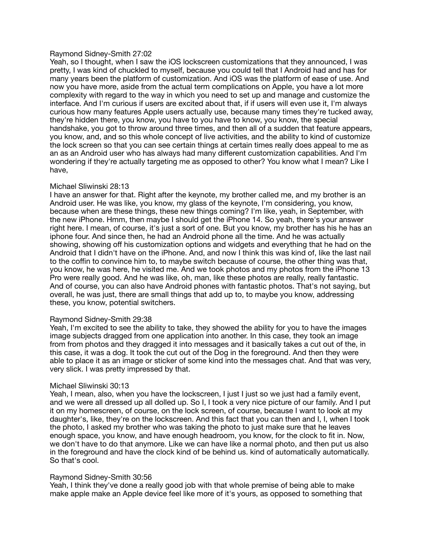## Raymond Sidney-Smith 27:02

Yeah, so I thought, when I saw the iOS lockscreen customizations that they announced, I was pretty, I was kind of chuckled to myself, because you could tell that I Android had and has for many years been the platform of customization. And iOS was the platform of ease of use. And now you have more, aside from the actual term complications on Apple, you have a lot more complexity with regard to the way in which you need to set up and manage and customize the interface. And I'm curious if users are excited about that, if if users will even use it, I'm always curious how many features Apple users actually use, because many times they're tucked away, they're hidden there, you know, you have to you have to know, you know, the special handshake, you got to throw around three times, and then all of a sudden that feature appears, you know, and, and so this whole concept of live activities, and the ability to kind of customize the lock screen so that you can see certain things at certain times really does appeal to me as an as an Android user who has always had many different customization capabilities. And I'm wondering if they're actually targeting me as opposed to other? You know what I mean? Like I have,

## Michael Sliwinski 28:13

I have an answer for that. Right after the keynote, my brother called me, and my brother is an Android user. He was like, you know, my glass of the keynote, I'm considering, you know, because when are these things, these new things coming? I'm like, yeah, in September, with the new iPhone. Hmm, then maybe I should get the iPhone 14. So yeah, there's your answer right here. I mean, of course, it's just a sort of one. But you know, my brother has his he has an iphone four. And since then, he had an Android phone all the time. And he was actually showing, showing off his customization options and widgets and everything that he had on the Android that I didn't have on the iPhone. And, and now I think this was kind of, like the last nail to the coffin to convince him to, to maybe switch because of course, the other thing was that, you know, he was here, he visited me. And we took photos and my photos from the iPhone 13 Pro were really good. And he was like, oh, man, like these photos are really, really fantastic. And of course, you can also have Android phones with fantastic photos. That's not saying, but overall, he was just, there are small things that add up to, to maybe you know, addressing these, you know, potential switchers.

#### Raymond Sidney-Smith 29:38

Yeah, I'm excited to see the ability to take, they showed the ability for you to have the images image subjects dragged from one application into another. In this case, they took an image from from photos and they dragged it into messages and it basically takes a cut out of the, in this case, it was a dog. It took the cut out of the Dog in the foreground. And then they were able to place it as an image or sticker of some kind into the messages chat. And that was very, very slick. I was pretty impressed by that.

#### Michael Sliwinski 30:13

Yeah, I mean, also, when you have the lockscreen, I just I just so we just had a family event, and we were all dressed up all dolled up. So I, I took a very nice picture of our family. And I put it on my homescreen, of course, on the lock screen, of course, because I want to look at my daughter's, like, they're on the lockscreen. And this fact that you can then and I, I, when I took the photo, I asked my brother who was taking the photo to just make sure that he leaves enough space, you know, and have enough headroom, you know, for the clock to fit in. Now, we don't have to do that anymore. Like we can have like a normal photo, and then put us also in the foreground and have the clock kind of be behind us. kind of automatically automatically. So that's cool.

## Raymond Sidney-Smith 30:56

Yeah, I think they've done a really good job with that whole premise of being able to make make apple make an Apple device feel like more of it's yours, as opposed to something that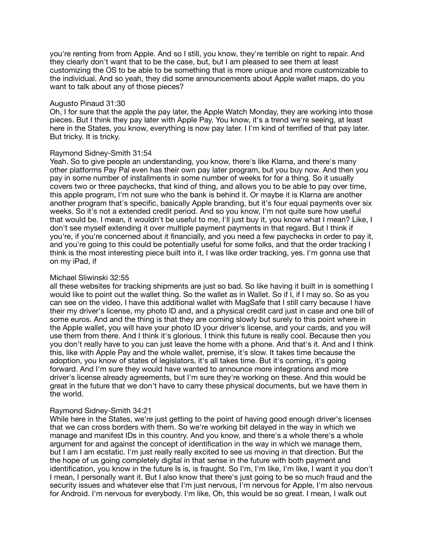you're renting from from Apple. And so I still, you know, they're terrible on right to repair. And they clearly don't want that to be the case, but, but I am pleased to see them at least customizing the OS to be able to be something that is more unique and more customizable to the individual. And so yeah, they did some announcements about Apple wallet maps, do you want to talk about any of those pieces?

## Augusto Pinaud 31:30

Oh, I for sure that the apple the pay later, the Apple Watch Monday, they are working into those pieces. But I think they pay later with Apple Pay. You know, it's a trend we're seeing, at least here in the States, you know, everything is now pay later. I I'm kind of terrified of that pay later. But tricky. It is tricky.

## Raymond Sidney-Smith 31:54

Yeah. So to give people an understanding, you know, there's like Klarna, and there's many other platforms Pay Pal even has their own pay later program, but you buy now. And then you pay in some number of installments in some number of weeks for for a thing. So it usually covers two or three paychecks, that kind of thing, and allows you to be able to pay over time, this apple program, I'm not sure who the bank is behind it. Or maybe it is Klarna are another another program that's specific, basically Apple branding, but it's four equal payments over six weeks. So it's not a extended credit period. And so you know, I'm not quite sure how useful that would be. I mean, it wouldn't be useful to me, I'll just buy it, you know what I mean? Like, I don't see myself extending it over multiple payment payments in that regard. But I think if you're, if you're concerned about it financially, and you need a few paychecks in order to pay it, and you're going to this could be potentially useful for some folks, and that the order tracking I think is the most interesting piece built into it, I was like order tracking, yes. I'm gonna use that on my iPad, if

## Michael Sliwinski 32:55

all these websites for tracking shipments are just so bad. So like having it built in is something I would like to point out the wallet thing. So the wallet as in Wallet. So if I, if I may so. So as you can see on the video, I have this additional wallet with MagSafe that I still carry because I have their my driver's license, my photo ID and, and a physical credit card just in case and one bill of some euros. And and the thing is that they are coming slowly but surely to this point where in the Apple wallet, you will have your photo ID your driver's license, and your cards, and you will use them from there. And I think it's glorious. I think this future is really cool. Because then you you don't really have to you can just leave the home with a phone. And that's it. And and I think this, like with Apple Pay and the whole wallet, premise, it's slow. It takes time because the adoption, you know of states of legislators, it's all takes time. But it's coming, it's going forward. And I'm sure they would have wanted to announce more integrations and more driver's license already agreements, but I'm sure they're working on these. And this would be great in the future that we don't have to carry these physical documents, but we have them in the world.

### Raymond Sidney-Smith 34:21

While here in the States, we're just getting to the point of having good enough driver's licenses that we can cross borders with them. So we're working bit delayed in the way in which we manage and manifest IDs in this country. And you know, and there's a whole there's a whole argument for and against the concept of identification in the way in which we manage them, but I am I am ecstatic. I'm just really really excited to see us moving in that direction. But the the hope of us going completely digital in that sense in the future with both payment and identification, you know in the future Is is, is fraught. So I'm, I'm like, I'm like, I want it you don't I mean, I personally want it. But I also know that there's just going to be so much fraud and the security issues and whatever else that I'm just nervous, I'm nervous for Apple, I'm also nervous for Android. I'm nervous for everybody. I'm like, Oh, this would be so great. I mean, I walk out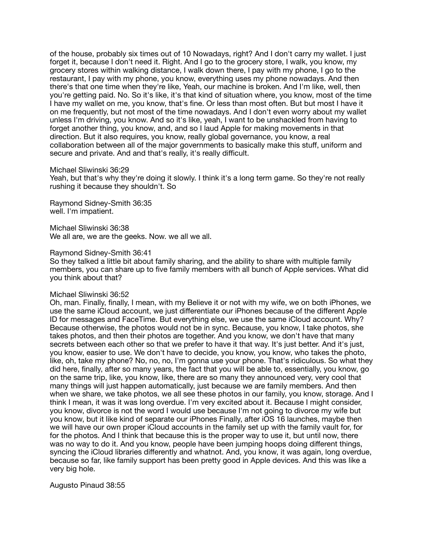of the house, probably six times out of 10 Nowadays, right? And I don't carry my wallet. I just forget it, because I don't need it. Right, And I go to the grocery store, I walk, you know, my grocery stores within walking distance, I walk down there, I pay with my phone, I go to the restaurant, I pay with my phone, you know, everything uses my phone nowadays. And then there's that one time when they're like, Yeah, our machine is broken. And I'm like, well, then you're getting paid. No. So it's like, it's that kind of situation where, you know, most of the time I have my wallet on me, you know, that's fine. Or less than most often. But but most I have it on me frequently, but not most of the time nowadays. And I don't even worry about my wallet unless I'm driving, you know. And so it's like, yeah, I want to be unshackled from having to forget another thing, you know, and, and so I laud Apple for making movements in that direction. But it also requires, you know, really global governance, you know, a real collaboration between all of the major governments to basically make this stuff, uniform and secure and private. And and that's really, it's really difficult.

#### Michael Sliwinski 36:29

Yeah, but that's why they're doing it slowly. I think it's a long term game. So they're not really rushing it because they shouldn't. So

Raymond Sidney-Smith 36:35 well. I'm impatient.

Michael Sliwinski 36:38 We all are, we are the geeks. Now. we all we all.

#### Raymond Sidney-Smith 36:41

So they talked a little bit about family sharing, and the ability to share with multiple family members, you can share up to five family members with all bunch of Apple services. What did you think about that?

#### Michael Sliwinski 36:52

Oh, man. Finally, finally, I mean, with my Believe it or not with my wife, we on both iPhones, we use the same iCloud account, we just differentiate our iPhones because of the different Apple ID for messages and FaceTime. But everything else, we use the same iCloud account. Why? Because otherwise, the photos would not be in sync. Because, you know, I take photos, she takes photos, and then their photos are together. And you know, we don't have that many secrets between each other so that we prefer to have it that way. It's just better. And it's just, you know, easier to use. We don't have to decide, you know, you know, who takes the photo, like, oh, take my phone? No, no, no, I'm gonna use your phone. That's ridiculous. So what they did here, finally, after so many years, the fact that you will be able to, essentially, you know, go on the same trip, like, you know, like, there are so many they announced very, very cool that many things will just happen automatically, just because we are family members. And then when we share, we take photos, we all see these photos in our family, you know, storage. And I think I mean, it was it was long overdue. I'm very excited about it. Because I might consider, you know, divorce is not the word I would use because I'm not going to divorce my wife but you know, but it like kind of separate our iPhones Finally, after iOS 16 launches, maybe then we will have our own proper iCloud accounts in the family set up with the family vault for, for for the photos. And I think that because this is the proper way to use it, but until now, there was no way to do it. And you know, people have been jumping hoops doing different things, syncing the iCloud libraries differently and whatnot. And, you know, it was again, long overdue, because so far, like family support has been pretty good in Apple devices. And this was like a very big hole.

Augusto Pinaud 38:55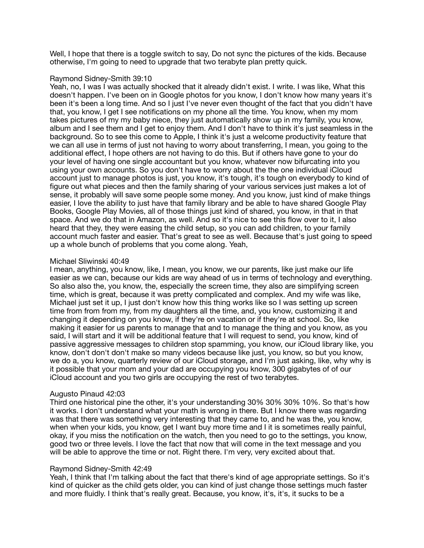Well, I hope that there is a toggle switch to say, Do not sync the pictures of the kids. Because otherwise, I'm going to need to upgrade that two terabyte plan pretty quick.

## Raymond Sidney-Smith 39:10

Yeah, no, I was I was actually shocked that it already didn't exist. I write. I was like, What this doesn't happen. I've been on in Google photos for you know, I don't know how many years it's been it's been a long time. And so I just I've never even thought of the fact that you didn't have that, you know, I get I see notifications on my phone all the time. You know, when my mom takes pictures of my my baby niece, they just automatically show up in my family, you know, album and I see them and I get to enjoy them. And I don't have to think it's just seamless in the background. So to see this come to Apple, I think it's just a welcome productivity feature that we can all use in terms of just not having to worry about transferring, I mean, you going to the additional effect, I hope others are not having to do this. But if others have gone to your do your level of having one single accountant but you know, whatever now bifurcating into you using your own accounts. So you don't have to worry about the the one individual iCloud account just to manage photos is just, you know, it's tough, it's tough on everybody to kind of figure out what pieces and then the family sharing of your various services just makes a lot of sense, it probably will save some people some money. And you know, just kind of make things easier, I love the ability to just have that family library and be able to have shared Google Play Books, Google Play Movies, all of those things just kind of shared, you know, in that in that space. And we do that in Amazon, as well. And so it's nice to see this flow over to it, I also heard that they, they were easing the child setup, so you can add children, to your family account much faster and easier. That's great to see as well. Because that's just going to speed up a whole bunch of problems that you come along. Yeah,

## Michael Sliwinski 40:49

I mean, anything, you know, like, I mean, you know, we our parents, like just make our life easier as we can, because our kids are way ahead of us in terms of technology and everything. So also also the, you know, the, especially the screen time, they also are simplifying screen time, which is great, because it was pretty complicated and complex. And my wife was like, Michael just set it up, I just don't know how this thing works like so I was setting up screen time from from from my, from my daughters all the time, and, you know, customizing it and changing it depending on you know, if they're on vacation or if they're at school. So, like making it easier for us parents to manage that and to manage the thing and you know, as you said, I will start and it will be additional feature that I will request to send, you know, kind of passive aggressive messages to children stop spamming, you know, our iCloud library like, you know, don't don't don't make so many videos because like just, you know, so but you know, we do a, you know, quarterly review of our iCloud storage, and I'm just asking, like, why why is it possible that your mom and your dad are occupying you know, 300 gigabytes of of our iCloud account and you two girls are occupying the rest of two terabytes.

## Augusto Pinaud 42:03

Third one historical pine the other, it's your understanding 30% 30% 30% 10%. So that's how it works. I don't understand what your math is wrong in there. But I know there was regarding was that there was something very interesting that they came to, and he was the, you know, when when your kids, you know, get I want buy more time and I it is sometimes really painful. okay, if you miss the notification on the watch, then you need to go to the settings, you know, good two or three levels. I love the fact that now that will come in the text message and you will be able to approve the time or not. Right there. I'm very, very excited about that.

## Raymond Sidney-Smith 42:49

Yeah, I think that I'm talking about the fact that there's kind of age appropriate settings. So it's kind of quicker as the child gets older, you can kind of just change those settings much faster and more fluidly. I think that's really great. Because, you know, it's, it's, it sucks to be a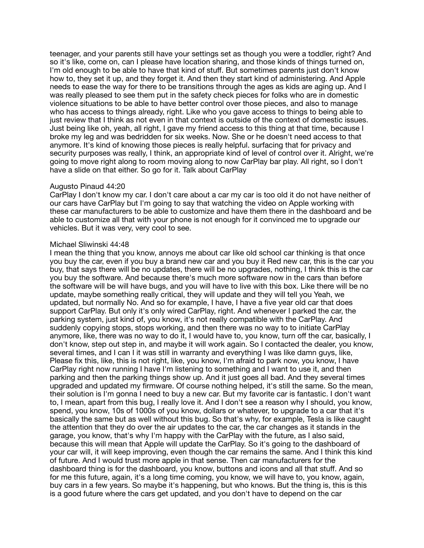teenager, and your parents still have your settings set as though you were a toddler, right? And so it's like, come on, can I please have location sharing, and those kinds of things turned on, I'm old enough to be able to have that kind of stuff. But sometimes parents just don't know how to, they set it up, and they forget it. And then they start kind of administering. And Apple needs to ease the way for there to be transitions through the ages as kids are aging up. And I was really pleased to see them put in the safety check pieces for folks who are in domestic violence situations to be able to have better control over those pieces, and also to manage who has access to things already, right. Like who you gave access to things to being able to just review that I think as not even in that context is outside of the context of domestic issues. Just being like oh, yeah, all right, I gave my friend access to this thing at that time, because I broke my leg and was bedridden for six weeks. Now. She or he doesn't need access to that anymore. It's kind of knowing those pieces is really helpful. surfacing that for privacy and security purposes was really, I think, an appropriate kind of level of control over it. Alright, we're going to move right along to room moving along to now CarPlay bar play. All right, so I don't have a slide on that either. So go for it. Talk about CarPlay

## Augusto Pinaud 44:20

CarPlay I don't know my car. I don't care about a car my car is too old it do not have neither of our cars have CarPlay but I'm going to say that watching the video on Apple working with these car manufacturers to be able to customize and have them there in the dashboard and be able to customize all that with your phone is not enough for it convinced me to upgrade our vehicles. But it was very, very cool to see.

#### Michael Sliwinski 44:48

I mean the thing that you know, annoys me about car like old school car thinking is that once you buy the car, even if you buy a brand new car and you buy it Red new car, this is the car you buy, that says there will be no updates, there will be no upgrades, nothing, I think this is the car you buy the software. And because there's much more software now in the cars than before the software will be will have bugs, and you will have to live with this box. Like there will be no update, maybe something really critical, they will update and they will tell you Yeah, we updated, but normally No. And so for example, I have, I have a five year old car that does support CarPlay. But only it's only wired CarPlay, right. And whenever I parked the car, the parking system, just kind of, you know, it's not really compatible with the CarPlay. And suddenly copying stops, stops working, and then there was no way to to initiate CarPlay anymore, like, there was no way to do it, I would have to, you know, turn off the car, basically, I don't know, step out step in, and maybe it will work again. So I contacted the dealer, you know, several times, and I can I it was still in warranty and everything I was like damn guys, like, Please fix this, like, this is not right, like, you know, I'm afraid to park now, you know, I have CarPlay right now running I have I'm listening to something and I want to use it, and then parking and then the parking things show up. And it just goes all bad. And they several times upgraded and updated my firmware. Of course nothing helped, it's still the same. So the mean, their solution is I'm gonna I need to buy a new car. But my favorite car is fantastic. I don't want to, I mean, apart from this bug, I really love it. And I don't see a reason why I should, you know, spend, you know, 10s of 1000s of you know, dollars or whatever, to upgrade to a car that it's basically the same but as well without this bug. So that's why, for example, Tesla is like caught the attention that they do over the air updates to the car, the car changes as it stands in the garage, you know, that's why I'm happy with the CarPlay with the future, as I also said, because this will mean that Apple will update the CarPlay. So it's going to the dashboard of your car will, it will keep improving, even though the car remains the same. And I think this kind of future. And I would trust more apple in that sense. Then car manufacturers for the dashboard thing is for the dashboard, you know, buttons and icons and all that stuff. And so for me this future, again, it's a long time coming, you know, we will have to, you know, again, buy cars in a few years. So maybe it's happening, but who knows. But the thing is, this is this is a good future where the cars get updated, and you don't have to depend on the car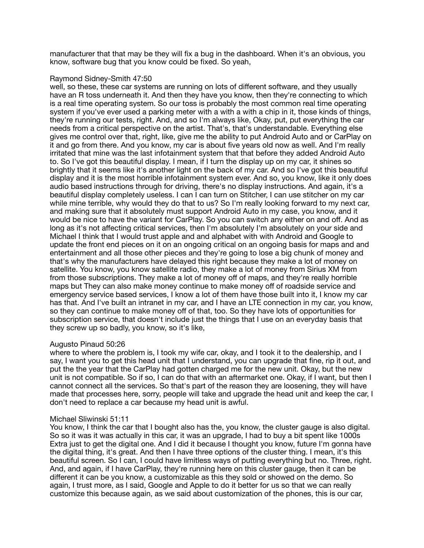manufacturer that that may be they will fix a bug in the dashboard. When it's an obvious, you know, software bug that you know could be fixed. So yeah,

## Raymond Sidney-Smith 47:50

well, so these, these car systems are running on lots of different software, and they usually have an R toss underneath it. And then they have you know, then they're connecting to which is a real time operating system. So our toss is probably the most common real time operating system if you've ever used a parking meter with a with a with a chip in it, those kinds of things, they're running our tests, right. And, and so I'm always like, Okay, put, put everything the car needs from a critical perspective on the artist. That's, that's understandable. Everything else gives me control over that, right, like, give me the ability to put Android Auto and or CarPlay on it and go from there. And you know, my car is about five years old now as well. And I'm really irritated that mine was the last infotainment system that that before they added Android Auto to. So I've got this beautiful display. I mean, if I turn the display up on my car, it shines so brightly that it seems like it's another light on the back of my car. And so I've got this beautiful display and it is the most horrible infotainment system ever. And so, you know, like it only does audio based instructions through for driving, there's no display instructions. And again, it's a beautiful display completely useless. I can I can turn on Stitcher, I can use stitcher on my car while mine terrible, why would they do that to us? So I'm really looking forward to my next car, and making sure that it absolutely must support Android Auto in my case, you know, and it would be nice to have the variant for CarPlay. So you can switch any either on and off. And as long as it's not affecting critical services, then I'm absolutely I'm absolutely on your side and Michael I think that I would trust apple and and alphabet with with Android and Google to update the front end pieces on it on an ongoing critical on an ongoing basis for maps and and entertainment and all those other pieces and they're going to lose a big chunk of money and that's why the manufacturers have delayed this right because they make a lot of money on satellite. You know, you know satellite radio, they make a lot of money from Sirius XM from from those subscriptions. They make a lot of money off of maps, and they're really horrible maps but They can also make money continue to make money off of roadside service and emergency service based services, I know a lot of them have those built into it, I know my car has that. And I've built an intranet in my car, and I have an LTE connection in my car, you know, so they can continue to make money off of that, too. So they have lots of opportunities for subscription service, that doesn't include just the things that I use on an everyday basis that they screw up so badly, you know, so it's like,

# Augusto Pinaud 50:26

where to where the problem is, I took my wife car, okay, and I took it to the dealership, and I say, I want you to get this head unit that I understand, you can upgrade that fine, rip it out, and put the the year that the CarPlay had gotten charged me for the new unit. Okay, but the new unit is not compatible. So if so, I can do that with an aftermarket one. Okay, if I want, but then I cannot connect all the services. So that's part of the reason they are loosening, they will have made that processes here, sorry, people will take and upgrade the head unit and keep the car, I don't need to replace a car because my head unit is awful.

## Michael Sliwinski 51:11

You know, I think the car that I bought also has the, you know, the cluster gauge is also digital. So so it was it was actually in this car, it was an upgrade, I had to buy a bit spent like 1000s Extra just to get the digital one. And I did it because I thought you know, future I'm gonna have the digital thing, it's great. And then I have three options of the cluster thing. I mean, it's this beautiful screen. So I can, I could have limitless ways of putting everything but no. Three, right. And, and again, if I have CarPlay, they're running here on this cluster gauge, then it can be different it can be you know, a customizable as this they sold or showed on the demo. So again, I trust more, as I said, Google and Apple to do it better for us so that we can really customize this because again, as we said about customization of the phones, this is our car,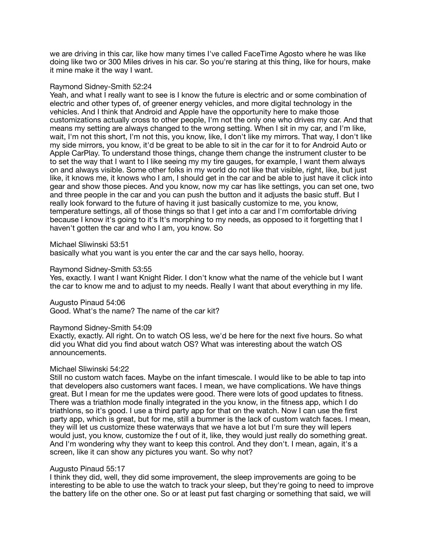we are driving in this car, like how many times I've called FaceTime Agosto where he was like doing like two or 300 Miles drives in his car. So you're staring at this thing, like for hours, make it mine make it the way I want.

#### Raymond Sidney-Smith 52:24

Yeah, and what I really want to see is I know the future is electric and or some combination of electric and other types of, of greener energy vehicles, and more digital technology in the vehicles. And I think that Android and Apple have the opportunity here to make those customizations actually cross to other people, I'm not the only one who drives my car. And that means my setting are always changed to the wrong setting. When I sit in my car, and I'm like, wait, I'm not this short, I'm not this, you know, like, I don't like my mirrors. That way, I don't like my side mirrors, you know, it'd be great to be able to sit in the car for it to for Android Auto or Apple CarPlay. To understand those things, change them change the instrument cluster to be to set the way that I want to I like seeing my my tire gauges, for example, I want them always on and always visible. Some other folks in my world do not like that visible, right, like, but just like, it knows me, it knows who I am, I should get in the car and be able to just have it click into gear and show those pieces. And you know, now my car has like settings, you can set one, two and three people in the car and you can push the button and it adjusts the basic stuff. But I really look forward to the future of having it just basically customize to me, you know, temperature settings, all of those things so that I get into a car and I'm comfortable driving because I know it's going to it's It's morphing to my needs, as opposed to it forgetting that I haven't gotten the car and who I am, you know. So

#### Michael Sliwinski 53:51

basically what you want is you enter the car and the car says hello, hooray.

#### Raymond Sidney-Smith 53:55

Yes, exactly. I want I want Knight Rider. I don't know what the name of the vehicle but I want the car to know me and to adjust to my needs. Really I want that about everything in my life.

Augusto Pinaud 54:06

Good. What's the name? The name of the car kit?

#### Raymond Sidney-Smith 54:09

Exactly, exactly. All right. On to watch OS less, we'd be here for the next five hours. So what did you What did you find about watch OS? What was interesting about the watch OS announcements.

#### Michael Sliwinski 54:22

Still no custom watch faces. Maybe on the infant timescale. I would like to be able to tap into that developers also customers want faces. I mean, we have complications. We have things great. But I mean for me the updates were good. There were lots of good updates to fitness. There was a triathlon mode finally integrated in the you know, in the fitness app, which I do triathlons, so it's good. I use a third party app for that on the watch. Now I can use the first party app, which is great, but for me, still a bummer is the lack of custom watch faces. I mean, they will let us customize these waterways that we have a lot but I'm sure they will lepers would just, you know, customize the f out of it, like, they would just really do something great. And I'm wondering why they want to keep this control. And they don't. I mean, again, it's a screen, like it can show any pictures you want. So why not?

## Augusto Pinaud 55:17

I think they did, well, they did some improvement, the sleep improvements are going to be interesting to be able to use the watch to track your sleep, but they're going to need to improve the battery life on the other one. So or at least put fast charging or something that said, we will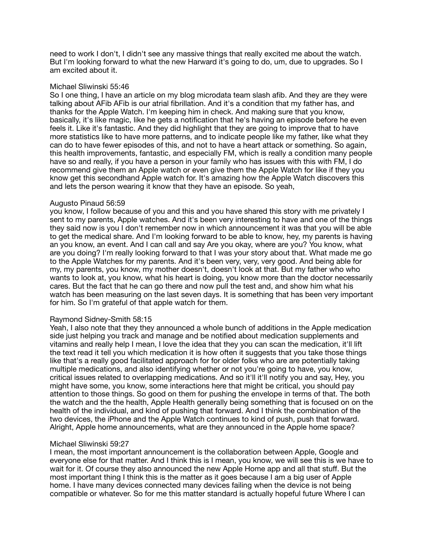need to work I don't, I didn't see any massive things that really excited me about the watch. But I'm looking forward to what the new Harward it's going to do, um, due to upgrades. So I am excited about it.

## Michael Sliwinski 55:46

So I one thing, I have an article on my blog microdata team slash afib. And they are they were talking about AFib AFib is our atrial fibrillation. And it's a condition that my father has, and thanks for the Apple Watch. I'm keeping him in check. And making sure that you know, basically, it's like magic, like he gets a notification that he's having an episode before he even feels it. Like it's fantastic. And they did highlight that they are going to improve that to have more statistics like to have more patterns, and to indicate people like my father, like what they can do to have fewer episodes of this, and not to have a heart attack or something. So again, this health improvements, fantastic, and especially FM, which is really a condition many people have so and really, if you have a person in your family who has issues with this with FM, I do recommend give them an Apple watch or even give them the Apple Watch for like if they you know get this secondhand Apple watch for. It's amazing how the Apple Watch discovers this and lets the person wearing it know that they have an episode. So yeah,

## Augusto Pinaud 56:59

you know, I follow because of you and this and you have shared this story with me privately I sent to my parents, Apple watches. And it's been very interesting to have and one of the things they said now is you I don't remember now in which announcement it was that you will be able to get the medical share. And I'm looking forward to be able to know, hey, my parents is having an you know, an event. And I can call and say Are you okay, where are you? You know, what are you doing? I'm really looking forward to that I was your story about that. What made me go to the Apple Watches for my parents. And it's been very, very, very good. And being able for my, my parents, you know, my mother doesn't, doesn't look at that. But my father who who wants to look at, you know, what his heart is doing, you know more than the doctor necessarily cares. But the fact that he can go there and now pull the test and, and show him what his watch has been measuring on the last seven days. It is something that has been very important for him. So I'm grateful of that apple watch for them.

## Raymond Sidney-Smith 58:15

Yeah, I also note that they they announced a whole bunch of additions in the Apple medication side just helping you track and manage and be notified about medication supplements and vitamins and really help I mean, I love the idea that they you can scan the medication, it'll lift the text read it tell you which medication it is how often it suggests that you take those things like that's a really good facilitated approach for for older folks who are are potentially taking multiple medications, and also identifying whether or not you're going to have, you know, critical issues related to overlapping medications. And so it'll it'll notify you and say, Hey, you might have some, you know, some interactions here that might be critical, you should pay attention to those things. So good on them for pushing the envelope in terms of that. The both the watch and the the health, Apple Health generally being something that is focused on on the health of the individual, and kind of pushing that forward. And I think the combination of the two devices, the iPhone and the Apple Watch continues to kind of push, push that forward. Alright, Apple home announcements, what are they announced in the Apple home space?

## Michael Sliwinski 59:27

I mean, the most important announcement is the collaboration between Apple, Google and everyone else for that matter. And I think this is I mean, you know, we will see this is we have to wait for it. Of course they also announced the new Apple Home app and all that stuff. But the most important thing I think this is the matter as it goes because I am a big user of Apple home. I have many devices connected many devices failing when the device is not being compatible or whatever. So for me this matter standard is actually hopeful future Where I can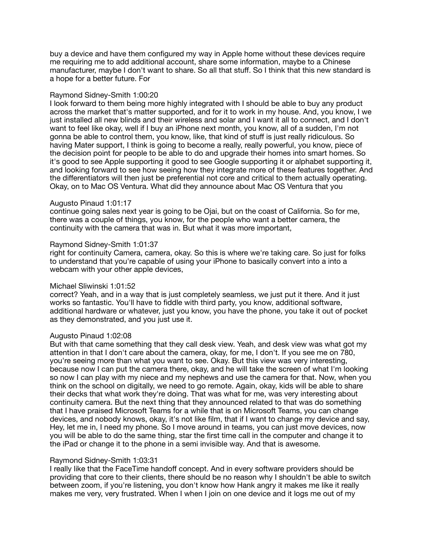buy a device and have them configured my way in Apple home without these devices require me requiring me to add additional account, share some information, maybe to a Chinese manufacturer, maybe I don't want to share. So all that stuff. So I think that this new standard is a hope for a better future. For

## Raymond Sidney-Smith 1:00:20

I look forward to them being more highly integrated with I should be able to buy any product across the market that's matter supported, and for it to work in my house. And, you know, I we just installed all new blinds and their wireless and solar and I want it all to connect, and I don't want to feel like okay, well if I buy an iPhone next month, you know, all of a sudden, I'm not gonna be able to control them, you know, like, that kind of stuff is just really ridiculous. So having Mater support, I think is going to become a really, really powerful, you know, piece of the decision point for people to be able to do and upgrade their homes into smart homes. So it's good to see Apple supporting it good to see Google supporting it or alphabet supporting it, and looking forward to see how seeing how they integrate more of these features together. And the differentiators will then just be preferential not core and critical to them actually operating. Okay, on to Mac OS Ventura. What did they announce about Mac OS Ventura that you

## Augusto Pinaud 1:01:17

continue going sales next year is going to be Ojai, but on the coast of California. So for me, there was a couple of things, you know, for the people who want a better camera, the continuity with the camera that was in. But what it was more important,

## Raymond Sidney-Smith 1:01:37

right for continuity Camera, camera, okay. So this is where we're taking care. So just for folks to understand that you're capable of using your iPhone to basically convert into a into a webcam with your other apple devices,

## Michael Sliwinski 1:01:52

correct? Yeah, and in a way that is just completely seamless, we just put it there. And it just works so fantastic. You'll have to fiddle with third party, you know, additional software, additional hardware or whatever, just you know, you have the phone, you take it out of pocket as they demonstrated, and you just use it.

#### Augusto Pinaud 1:02:08

But with that came something that they call desk view. Yeah, and desk view was what got my attention in that I don't care about the camera, okay, for me, I don't. If you see me on 780, you're seeing more than what you want to see. Okay. But this view was very interesting, because now I can put the camera there, okay, and he will take the screen of what I'm looking so now I can play with my niece and my nephews and use the camera for that. Now, when you think on the school on digitally, we need to go remote. Again, okay, kids will be able to share their decks that what work they're doing. That was what for me, was very interesting about continuity camera. But the next thing that they announced related to that was do something that I have praised Microsoft Teams for a while that is on Microsoft Teams, you can change devices, and nobody knows, okay, it's not like film, that if I want to change my device and say, Hey, let me in, I need my phone. So I move around in teams, you can just move devices, now you will be able to do the same thing, star the first time call in the computer and change it to the iPad or change it to the phone in a semi invisible way. And that is awesome.

## Raymond Sidney-Smith 1:03:31

I really like that the FaceTime handoff concept. And in every software providers should be providing that core to their clients, there should be no reason why I shouldn't be able to switch between zoom, if you're listening, you don't know how Hank angry it makes me like it really makes me very, very frustrated. When I when I join on one device and it logs me out of my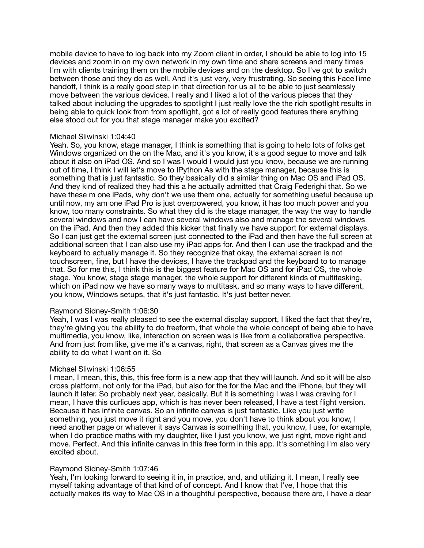mobile device to have to log back into my Zoom client in order, I should be able to log into 15 devices and zoom in on my own network in my own time and share screens and many times I'm with clients training them on the mobile devices and on the desktop. So I've got to switch between those and they do as well. And it's just very, very frustrating. So seeing this FaceTime handoff, I think is a really good step in that direction for us all to be able to just seamlessly move between the various devices. I really and I liked a lot of the various pieces that they talked about including the upgrades to spotlight I just really love the the rich spotlight results in being able to quick look from from spotlight, got a lot of really good features there anything else stood out for you that stage manager make you excited?

## Michael Sliwinski 1:04:40

Yeah. So, you know, stage manager, I think is something that is going to help lots of folks get Windows organized on the on the Mac, and it's you know, it's a good segue to move and talk about it also on iPad OS. And so I was I would I would just you know, because we are running out of time, I think I will let's move to IPython As with the stage manager, because this is something that is just fantastic. So they basically did a similar thing on Mac OS and iPad OS. And they kind of realized they had this a he actually admitted that Craig Federighi that. So we have these m one iPads, why don't we use them one, actually for something useful because up until now, my am one iPad Pro is just overpowered, you know, it has too much power and you know, too many constraints. So what they did is the stage manager, the way the way to handle several windows and now I can have several windows also and manage the several windows on the iPad. And then they added this kicker that finally we have support for external displays. So I can just get the external screen just connected to the iPad and then have the full screen at additional screen that I can also use my iPad apps for. And then I can use the trackpad and the keyboard to actually manage it. So they recognize that okay, the external screen is not touchscreen, fine, but I have the devices, I have the trackpad and the keyboard to to manage that. So for me this, I think this is the biggest feature for Mac OS and for iPad OS, the whole stage. You know, stage stage manager, the whole support for different kinds of multitasking, which on iPad now we have so many ways to multitask, and so many ways to have different, you know, Windows setups, that it's just fantastic. It's just better never.

## Raymond Sidney-Smith 1:06:30

Yeah, I was I was really pleased to see the external display support, I liked the fact that they're, they're giving you the ability to do freeform, that whole the whole concept of being able to have multimedia, you know, like, interaction on screen was is like from a collaborative perspective. And from just from like, give me it's a canvas, right, that screen as a Canvas gives me the ability to do what I want on it. So

## Michael Sliwinski 1:06:55

I mean, I mean, this, this, this free form is a new app that they will launch. And so it will be also cross platform, not only for the iPad, but also for the for the Mac and the iPhone, but they will launch it later. So probably next year, basically. But it is something I was I was craving for I mean, I have this curlicues app, which is has never been released, I have a test flight version. Because it has infinite canvas. So an infinite canvas is just fantastic. Like you just write something, you just move it right and you move, you don't have to think about you know, I need another page or whatever it says Canvas is something that, you know, I use, for example, when I do practice maths with my daughter, like I just you know, we just right, move right and move. Perfect. And this infinite canvas in this free form in this app. It's something I'm also very excited about.

### Raymond Sidney-Smith 1:07:46

Yeah, I'm looking forward to seeing it in, in practice, and, and utilizing it. I mean, I really see myself taking advantage of that kind of of concept. And I know that I've, I hope that this actually makes its way to Mac OS in a thoughtful perspective, because there are, I have a dear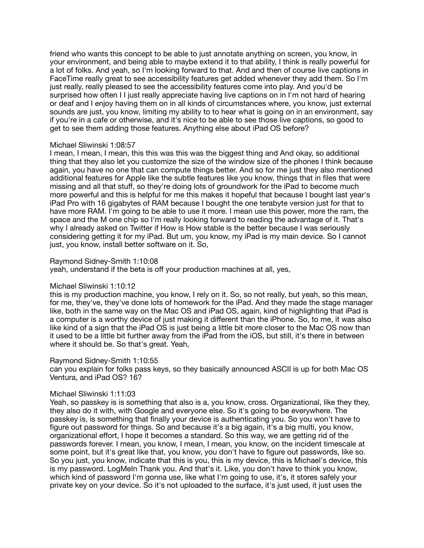friend who wants this concept to be able to just annotate anything on screen, you know, in your environment, and being able to maybe extend it to that ability, I think is really powerful for a lot of folks. And yeah, so I'm looking forward to that. And and then of course live captions in FaceTime really great to see accessibility features get added whenever they add them. So I'm just really, really pleased to see the accessibility features come into play. And you'd be surprised how often I I just really appreciate having live captions on in I'm not hard of hearing or deaf and I enjoy having them on in all kinds of circumstances where, you know, just external sounds are just, you know, limiting my ability to to hear what is going on in an environment, say if you're in a cafe or otherwise, and it's nice to be able to see those live captions, so good to get to see them adding those features. Anything else about iPad OS before?

## Michael Sliwinski 1:08:57

I mean, I mean, I mean, this this was this was the biggest thing and And okay, so additional thing that they also let you customize the size of the window size of the phones I think because again, you have no one that can compute things better. And so for me just they also mentioned additional features for Apple like the subtle features like you know, things that in files that were missing and all that stuff, so they're doing lots of groundwork for the iPad to become much more powerful and this is helpful for me this makes it hopeful that because I bought last year's iPad Pro with 16 gigabytes of RAM because I bought the one terabyte version just for that to have more RAM. I'm going to be able to use it more. I mean use this power, more the ram, the space and the M one chip so I'm really looking forward to reading the advantage of it. That's why I already asked on Twitter if How is How stable is the better because I was seriously considering getting it for my iPad. But um, you know, my iPad is my main device. So I cannot just, you know, install better software on it. So,

## Raymond Sidney-Smith 1:10:08

yeah, understand if the beta is off your production machines at all, yes,

## Michael Sliwinski 1:10:12

this is my production machine, you know, I rely on it. So, so not really, but yeah, so this mean, for me, they've, they've done lots of homework for the iPad. And they made the stage manager like, both in the same way on the Mac OS and iPad OS, again, kind of highlighting that iPad is a computer is a worthy device of just making it different than the iPhone. So, to me, it was also like kind of a sign that the iPad OS is just being a little bit more closer to the Mac OS now than it used to be a little bit further away from the iPad from the iOS, but still, it's there in between where it should be. So that's great. Yeah,

#### Raymond Sidney-Smith 1:10:55

can you explain for folks pass keys, so they basically announced ASCII is up for both Mac OS Ventura, and iPad OS? 16?

#### Michael Sliwinski 1:11:03

Yeah, so passkey is is something that also is a, you know, cross. Organizational, like they they, they also do it with, with Google and everyone else. So it's going to be everywhere. The passkey is, is something that finally your device is authenticating you. So you won't have to figure out password for things. So and because it's a big again, it's a big multi, you know, organizational effort, I hope it becomes a standard. So this way, we are getting rid of the passwords forever. I mean, you know, I mean, I mean, you know, on the incident timescale at some point, but it's great like that, you know, you don't have to figure out passwords, like so. So you just, you know, indicate that this is you, this is my device, this is Michael's device, this is my password. LogMeIn Thank you. And that's it. Like, you don't have to think you know, which kind of password I'm gonna use, like what I'm going to use, it's, it stores safely your private key on your device. So it's not uploaded to the surface, it's just used, it just uses the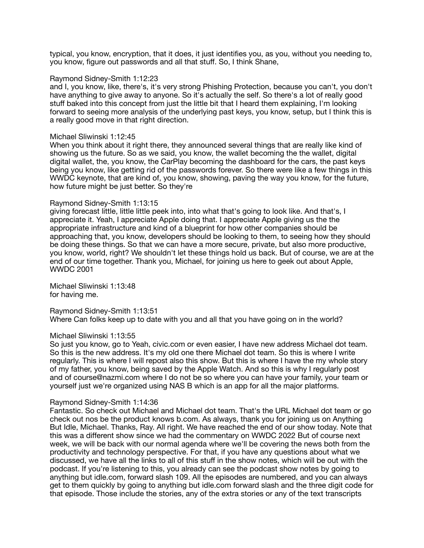typical, you know, encryption, that it does, it just identifies you, as you, without you needing to, you know, figure out passwords and all that stuff. So, I think Shane,

### Raymond Sidney-Smith 1:12:23

and I, you know, like, there's, it's very strong Phishing Protection, because you can't, you don't have anything to give away to anyone. So it's actually the self. So there's a lot of really good stuff baked into this concept from just the little bit that I heard them explaining, I'm looking forward to seeing more analysis of the underlying past keys, you know, setup, but I think this is a really good move in that right direction.

## Michael Sliwinski 1:12:45

When you think about it right there, they announced several things that are really like kind of showing us the future. So as we said, you know, the wallet becoming the the wallet, digital digital wallet, the, you know, the CarPlay becoming the dashboard for the cars, the past keys being you know, like getting rid of the passwords forever. So there were like a few things in this WWDC keynote, that are kind of, you know, showing, paving the way you know, for the future, how future might be just better. So they're

## Raymond Sidney-Smith 1:13:15

giving forecast little, little little peek into, into what that's going to look like. And that's, I appreciate it. Yeah, I appreciate Apple doing that. I appreciate Apple giving us the the appropriate infrastructure and kind of a blueprint for how other companies should be approaching that, you know, developers should be looking to them, to seeing how they should be doing these things. So that we can have a more secure, private, but also more productive, you know, world, right? We shouldn't let these things hold us back. But of course, we are at the end of our time together. Thank you, Michael, for joining us here to geek out about Apple, WWDC 2001

Michael Sliwinski 1:13:48 for having me.

Raymond Sidney-Smith 1:13:51 Where Can folks keep up to date with you and all that you have going on in the world?

## Michael Sliwinski 1:13:55

So just you know, go to Yeah, civic.com or even easier, I have new address Michael dot team. So this is the new address. It's my old one there Michael dot team. So this is where I write regularly. This is where I will repost also this show. But this is where I have the my whole story of my father, you know, being saved by the Apple Watch. And so this is why I regularly post and of course@nazmi.com where I do not be so where you can have your family, your team or yourself just we're organized using NAS B which is an app for all the major platforms.

## Raymond Sidney-Smith 1:14:36

Fantastic. So check out Michael and Michael dot team. That's the URL Michael dot team or go check out nos be the product knows b.com. As always, thank you for joining us on Anything But Idle, Michael. Thanks, Ray. All right. We have reached the end of our show today. Note that this was a different show since we had the commentary on WWDC 2022 But of course next week, we will be back with our normal agenda where we'll be covering the news both from the productivity and technology perspective. For that, if you have any questions about what we discussed, we have all the links to all of this stuff in the show notes, which will be out with the podcast. If you're listening to this, you already can see the podcast show notes by going to anything but idle.com, forward slash 109. All the episodes are numbered, and you can always get to them quickly by going to anything but idle.com forward slash and the three digit code for that episode. Those include the stories, any of the extra stories or any of the text transcripts